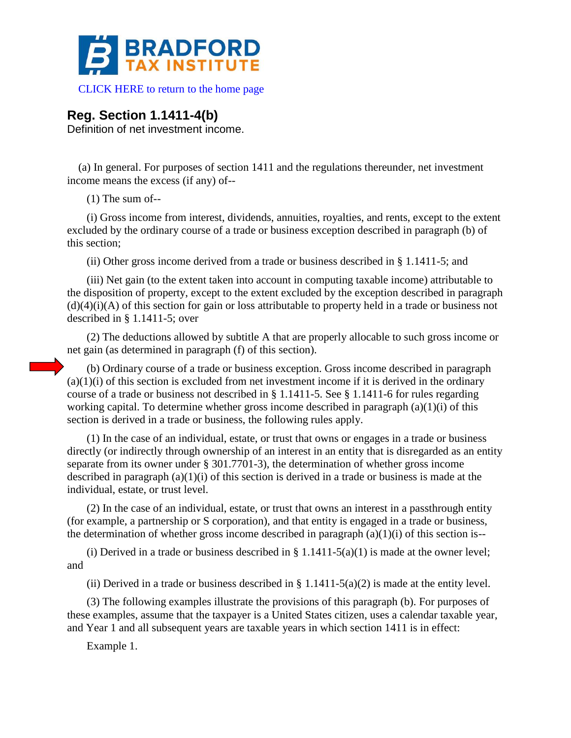

 [CLICK HERE to return to the home page](https://bradfordtaxinstitute.com) 

## **Reg. Section 1.1411-4(b)**

Definition of net investment income.

(a) In general. For purposes of section 1411 and the regulations thereunder, net investment income means the excess (if any) of--

(1) The sum of--

(i) Gross income from interest, dividends, annuities, royalties, and rents, except to the extent excluded by the ordinary course of a trade or business exception described in paragraph (b) of this section;

(ii) Other gross income derived from a trade or business described in § 1.1411-5; and

(iii) Net gain (to the extent taken into account in computing taxable income) attributable to the disposition of property, except to the extent excluded by the exception described in paragraph  $(d)(4)(i)(A)$  of this section for gain or loss attributable to property held in a trade or business not described in § 1.1411-5; over

(2) The deductions allowed by subtitle A that are properly allocable to such gross income or net gain (as determined in paragraph (f) of this section).

(b) Ordinary course of a trade or business exception. Gross income described in paragraph  $(a)(1)(i)$  of this section is excluded from net investment income if it is derived in the ordinary course of a trade or business not described in § 1.1411-5. See § 1.1411-6 for rules regarding working capital. To determine whether gross income described in paragraph  $(a)(1)(i)$  of this section is derived in a trade or business, the following rules apply.

(1) In the case of an individual, estate, or trust that owns or engages in a trade or business directly (or indirectly through ownership of an interest in an entity that is disregarded as an entity separate from its owner under § 301.7701-3), the determination of whether gross income described in paragraph  $(a)(1)(i)$  of this section is derived in a trade or business is made at the individual, estate, or trust level.

(2) In the case of an individual, estate, or trust that owns an interest in a passthrough entity (for example, a partnership or S corporation), and that entity is engaged in a trade or business, the determination of whether gross income described in paragraph  $(a)(1)(i)$  of this section is--

(i) Derived in a trade or business described in  $\S 1.1411-5(a)(1)$  is made at the owner level; and

(ii) Derived in a trade or business described in  $\S 1.1411-5(a)(2)$  is made at the entity level.

(3) The following examples illustrate the provisions of this paragraph (b). For purposes of these examples, assume that the taxpayer is a United States citizen, uses a calendar taxable year, and Year 1 and all subsequent years are taxable years in which section 1411 is in effect:

Example 1.